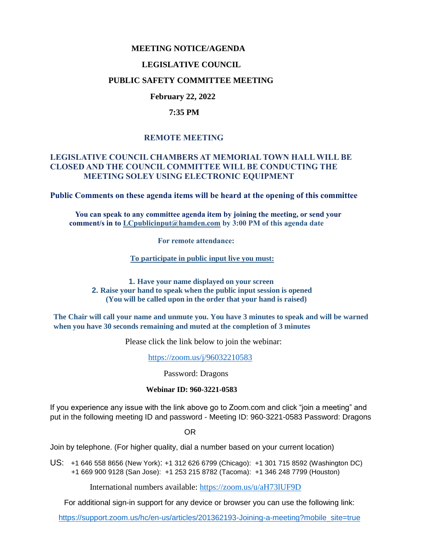### **MEETING NOTICE/AGENDA**

### **LEGISLATIVE COUNCIL**

### **PUBLIC SAFETY COMMITTEE MEETING**

# **February 22, 2022**

### **7:35 PM**

# **REMOTE MEETING**

### **LEGISLATIVE COUNCIL CHAMBERS AT MEMORIAL TOWN HALL WILL BE CLOSED AND THE COUNCIL COMMITTEE WILL BE CONDUCTING THE MEETING SOLEY USING ELECTRONIC EQUIPMENT**

**Public Comments on these agenda items will be heard at the opening of this committee** 

 **You can speak to any committee agenda item by joining the meeting, or send your comment/s in to [LCpublicinput@hamden.com](mailto:LCpublicinput@hamden.com) by 3:00 PM of this agenda date**

 **For remote attendance:**

**To participate in public input live you must:**

**1. Have your name displayed on your screen 2. Raise your hand to speak when the public input session is opened (You will be called upon in the order that your hand is raised)**

**The Chair will call your name and unmute you. You have 3 minutes to speak and will be warned when you have 30 seconds remaining and muted at the completion of 3 minutes**

Please click the link below to join the webinar:

<https://zoom.us/j/96032210583>

Password: Dragons

#### **Webinar ID: 960-3221-0583**

If you experience any issue with the link above go to Zoom.com and click "join a meeting" and put in the following meeting ID and password - Meeting ID: 960-3221-0583 Password: Dragons

OR

Join by telephone. (For higher quality, dial a number based on your current location)

US: [+1 646 558 8656 \(New York\)](tel:+16465588656): [+1 312 626 6799 \(Chicago\):](tel:+13126266799) [+1 301 715 8592 \(Washington DC\)](tel:+13017158592) +1 669 900 9128 (San Jose): [+1 253 215 8782 \(Tacoma\):](tel:+12532158782) [+1 346 248 7799 \(Houston\)](tel:+13462487799)

International numbers available:<https://zoom.us/u/aH73lUF9D>

For additional sign-in support for any device or browser you can use the following link:

[https://support.zoom.us/hc/en-us/articles/201362193-Joining-a-meeting?mobile\\_site=true](https://support.zoom.us/hc/en-us/articles/201362193-Joining-a-meeting?mobile_site=true)